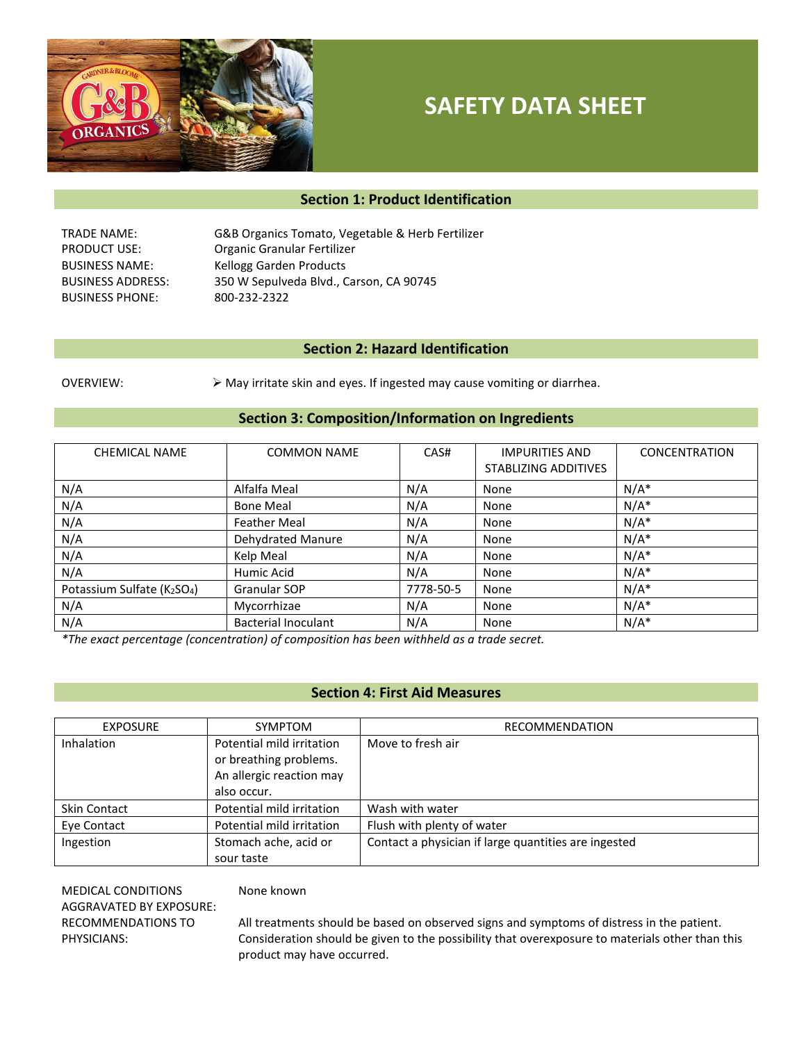

# **SAFETY DATA SHEET**

# **Section 1: Product Identification**

BUSINESS PHONE: 800-232-2322

TRADE NAME: G&B Organics Tomato, Vegetable & Herb Fertilizer PRODUCT USE: Organic Granular Fertilizer BUSINESS NAME: Kellogg Garden Products BUSINESS ADDRESS: 350 W Sepulveda Blvd., Carson, CA 90745

# **Section 2: Hazard Identification**

OVERVIEW:  $\triangleright$  May irritate skin and eyes. If ingested may cause vomiting or diarrhea.

# **Section 3: Composition/Information on Ingredients**

| <b>CHEMICAL NAME</b>      | <b>COMMON NAME</b>         | CAS#      | <b>IMPURITIES AND</b><br>STABLIZING ADDITIVES | <b>CONCENTRATION</b> |
|---------------------------|----------------------------|-----------|-----------------------------------------------|----------------------|
| N/A                       | Alfalfa Meal               | N/A       | None                                          | $N/A^*$              |
| N/A                       | <b>Bone Meal</b>           | N/A       | None                                          | $N/A^*$              |
| N/A                       | <b>Feather Meal</b>        | N/A       | None                                          | $N/A^*$              |
| N/A                       | Dehydrated Manure          | N/A       | None                                          | $N/A^*$              |
| N/A                       | Kelp Meal                  | N/A       | None                                          | $N/A^*$              |
| N/A                       | Humic Acid                 | N/A       | None                                          | $N/A^*$              |
| Potassium Sulfate (K2SO4) | Granular SOP               | 7778-50-5 | None                                          | $N/A^*$              |
| N/A                       | Mycorrhizae                | N/A       | None                                          | $N/A^*$              |
| N/A                       | <b>Bacterial Inoculant</b> | N/A       | None                                          | $N/A^*$              |

*\*The exact percentage (concentration) of composition has been withheld as a trade secret.*

# **Section 4: First Aid Measures**

| <b>EXPOSURE</b>     | SYMPTOM                                                                                        | RECOMMENDATION                                       |
|---------------------|------------------------------------------------------------------------------------------------|------------------------------------------------------|
| <b>Inhalation</b>   | Potential mild irritation<br>or breathing problems.<br>An allergic reaction may<br>also occur. | Move to fresh air                                    |
| <b>Skin Contact</b> | Potential mild irritation                                                                      | Wash with water                                      |
| Eye Contact         | Potential mild irritation                                                                      | Flush with plenty of water                           |
| Ingestion           | Stomach ache, acid or<br>sour taste                                                            | Contact a physician if large quantities are ingested |

MEDICAL CONDITIONS AGGRAVATED BY EXPOSURE: RECOMMENDATIONS TO PHYSICIANS:

#### None known

All treatments should be based on observed signs and symptoms of distress in the patient. Consideration should be given to the possibility that overexposure to materials other than this product may have occurred.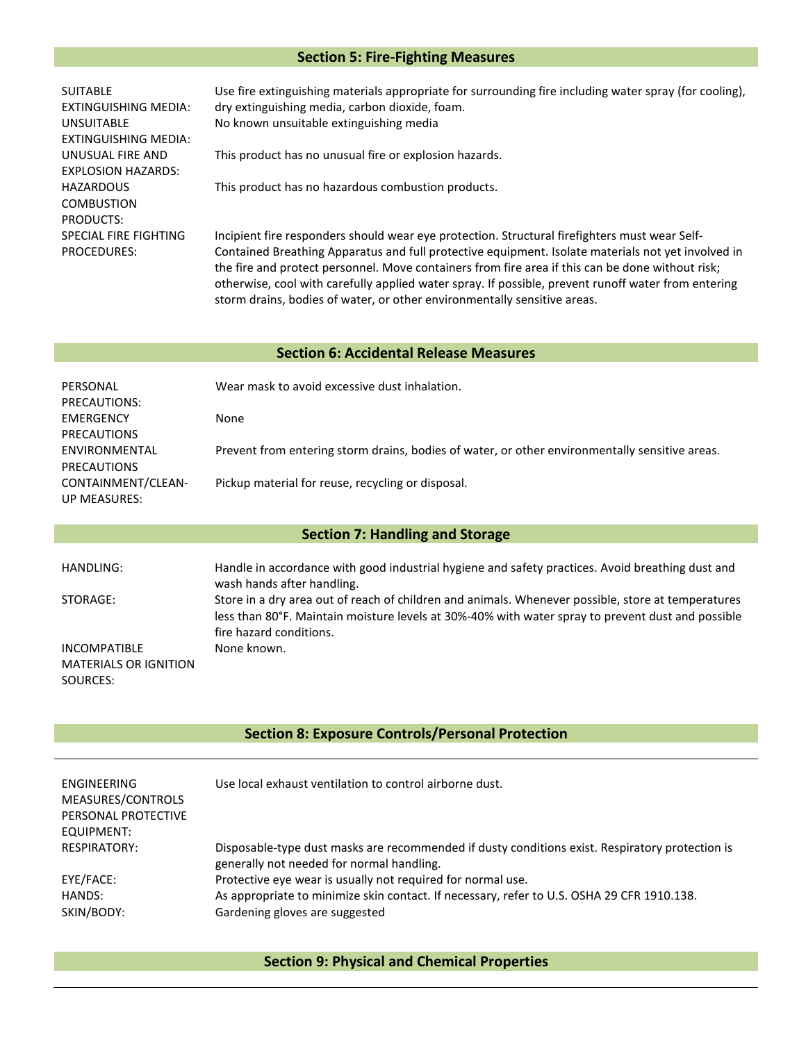# **Section 5: Fire-Fighting Measures**

| <b>SUITABLE</b>              | J. |
|------------------------------|----|
| EXTINGUISHING MEDIA:         | dı |
| UNSUITABLE                   | N١ |
| EXTINGUISHING MEDIA:         |    |
| UNUSUAL FIRE AND             | Tł |
| <b>FXPLOSION HAZARDS:</b>    |    |
| HAZARDOUS                    | Tł |
| COMBUSTION                   |    |
| PRODUCTS:                    |    |
| <b>SPECIAL FIRE FIGHTING</b> | In |
| <b>PROCEDURES:</b>           | ે  |

se fire extinguishing materials appropriate for surrounding fire including water spray (for cooling), ry extinguishing media, carbon dioxide, foam. o known unsuitable extinguishing media

his product has no unusual fire or explosion hazards.

his product has no hazardous combustion products.

Incipient fire responders should wear eye protection. Structural firefighters must wear Selfontained Breathing Apparatus and full protective equipment. Isolate materials not yet involved in the fire and protect personnel. Move containers from fire area if this can be done without risk; otherwise, cool with carefully applied water spray. If possible, prevent runoff water from entering storm drains, bodies of water, or other environmentally sensitive areas.

#### **Section 6: Accidental Release Measures**

| PERSONAL           | Wear mask to avoid excessive dust inhalation.                                                  |
|--------------------|------------------------------------------------------------------------------------------------|
| PRECAUTIONS:       |                                                                                                |
| EMERGENCY          | None                                                                                           |
| <b>PRECAUTIONS</b> |                                                                                                |
| ENVIRONMENTAL      | Prevent from entering storm drains, bodies of water, or other environmentally sensitive areas. |
| <b>PRECAUTIONS</b> |                                                                                                |
| CONTAINMENT/CLEAN- | Pickup material for reuse, recycling or disposal.                                              |
| UP MEASURES:       |                                                                                                |

# **Section 7: Handling and Storage**

| HANDLING:                                                | Handle in accordance with good industrial hygiene and safety practices. Avoid breathing dust and<br>wash hands after handling.                                                                                                     |
|----------------------------------------------------------|------------------------------------------------------------------------------------------------------------------------------------------------------------------------------------------------------------------------------------|
| STORAGE:                                                 | Store in a dry area out of reach of children and animals. Whenever possible, store at temperatures<br>less than 80°F. Maintain moisture levels at 30%-40% with water spray to prevent dust and possible<br>fire hazard conditions. |
| INCOMPATIBLE<br><b>MATERIALS OR IGNITION</b><br>SOURCES: | None known.                                                                                                                                                                                                                        |

# **Section 8: Exposure Controls/Personal Protection**

| <b>ENGINEERING</b><br>MEASURES/CONTROLS<br>PERSONAL PROTECTIVE<br>EQUIPMENT: | Use local exhaust ventilation to control airborne dust.                                                                                      |
|------------------------------------------------------------------------------|----------------------------------------------------------------------------------------------------------------------------------------------|
| <b>RESPIRATORY:</b>                                                          | Disposable-type dust masks are recommended if dusty conditions exist. Respiratory protection is<br>generally not needed for normal handling. |
| EYE/FACE:                                                                    | Protective eye wear is usually not required for normal use.                                                                                  |
| HANDS:<br>SKIN/BODY:                                                         | As appropriate to minimize skin contact. If necessary, refer to U.S. OSHA 29 CFR 1910.138.<br>Gardening gloves are suggested                 |

**Section 9: Physical and Chemical Properties**